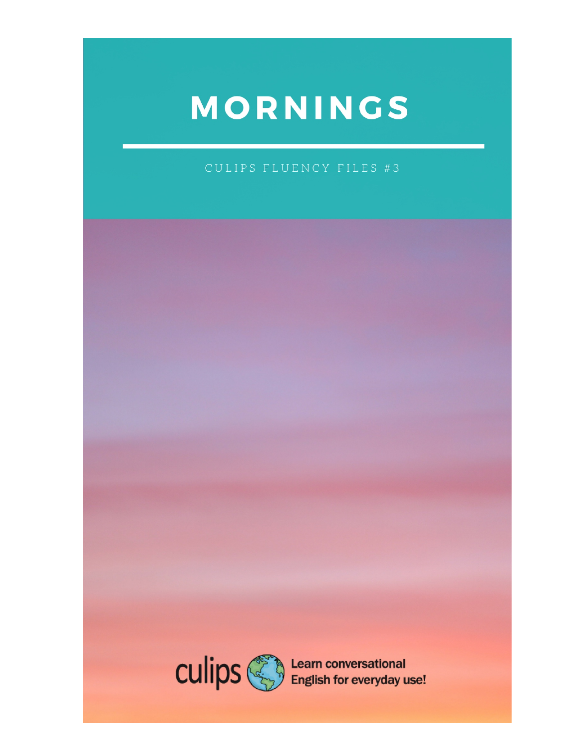## MORNINGS

CULIPS FLUENCY FILES #3

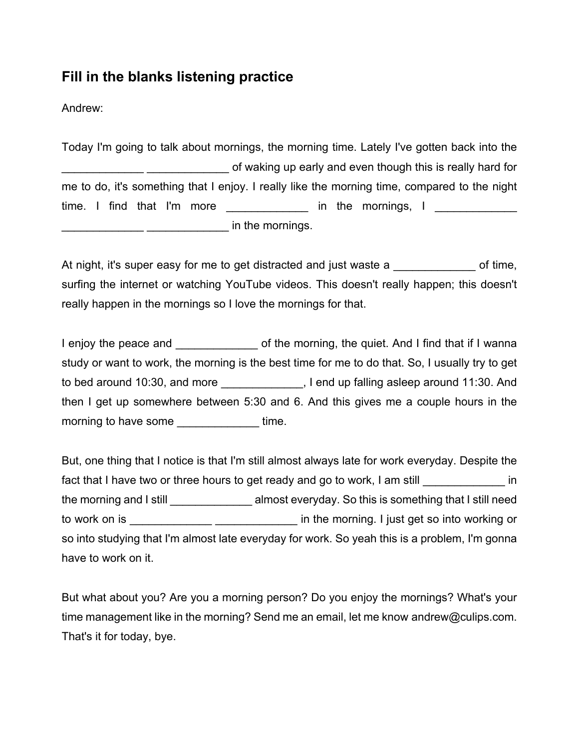## **Fill in the blanks listening practice**

Andrew:

Today I'm going to talk about mornings, the morning time. Lately I've gotten back into the of waking up early and even though this is really hard for me to do, it's something that I enjoy. I really like the morning time, compared to the night time. I find that I'm more **Example 2** in the mornings, I  $\blacksquare$  in the mornings.

At night, it's super easy for me to get distracted and just waste a call of time, surfing the internet or watching YouTube videos. This doesn't really happen; this doesn't really happen in the mornings so I love the mornings for that.

I enjoy the peace and **Fig. 2.1** of the morning, the quiet. And I find that if I wanna study or want to work, the morning is the best time for me to do that. So, I usually try to get to bed around 10:30, and more \_\_\_\_\_\_\_\_\_\_\_\_, I end up falling asleep around 11:30. And then I get up somewhere between 5:30 and 6. And this gives me a couple hours in the morning to have some \_\_\_\_\_\_\_\_\_\_\_\_\_\_\_ time.

But, one thing that I notice is that I'm still almost always late for work everyday. Despite the fact that I have two or three hours to get ready and go to work, I am still in the morning and I still \_\_\_\_\_\_\_\_\_\_\_\_\_\_\_\_ almost everyday. So this is something that I still need to work on is \_\_\_\_\_\_\_\_\_\_\_\_\_ \_\_\_\_\_\_\_\_\_\_\_\_\_ in the morning. I just get so into working or so into studying that I'm almost late everyday for work. So yeah this is a problem, I'm gonna have to work on it.

But what about you? Are you a morning person? Do you enjoy the mornings? What's your time management like in the morning? Send me an email, let me know andrew@culips.com. That's it for today, bye.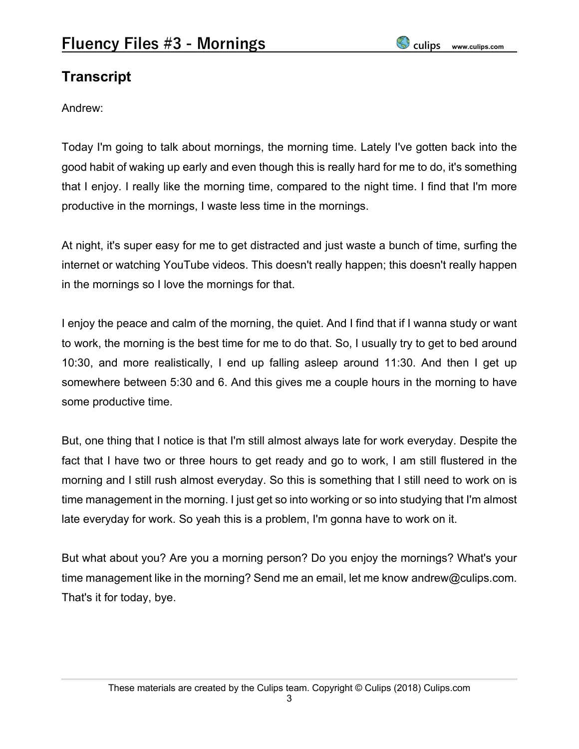## **Transcript**

Andrew:

Today I'm going to talk about mornings, the morning time. Lately I've gotten back into the good habit of waking up early and even though this is really hard for me to do, it's something that I enjoy. I really like the morning time, compared to the night time. I find that I'm more productive in the mornings, I waste less time in the mornings.

At night, it's super easy for me to get distracted and just waste a bunch of time, surfing the internet or watching YouTube videos. This doesn't really happen; this doesn't really happen in the mornings so I love the mornings for that.

I enjoy the peace and calm of the morning, the quiet. And I find that if I wanna study or want to work, the morning is the best time for me to do that. So, I usually try to get to bed around 10:30, and more realistically, I end up falling asleep around 11:30. And then I get up somewhere between 5:30 and 6. And this gives me a couple hours in the morning to have some productive time.

But, one thing that I notice is that I'm still almost always late for work everyday. Despite the fact that I have two or three hours to get ready and go to work, I am still flustered in the morning and I still rush almost everyday. So this is something that I still need to work on is time management in the morning. I just get so into working or so into studying that I'm almost late everyday for work. So yeah this is a problem, I'm gonna have to work on it.

But what about you? Are you a morning person? Do you enjoy the mornings? What's your time management like in the morning? Send me an email, let me know andrew@culips.com. That's it for today, bye.